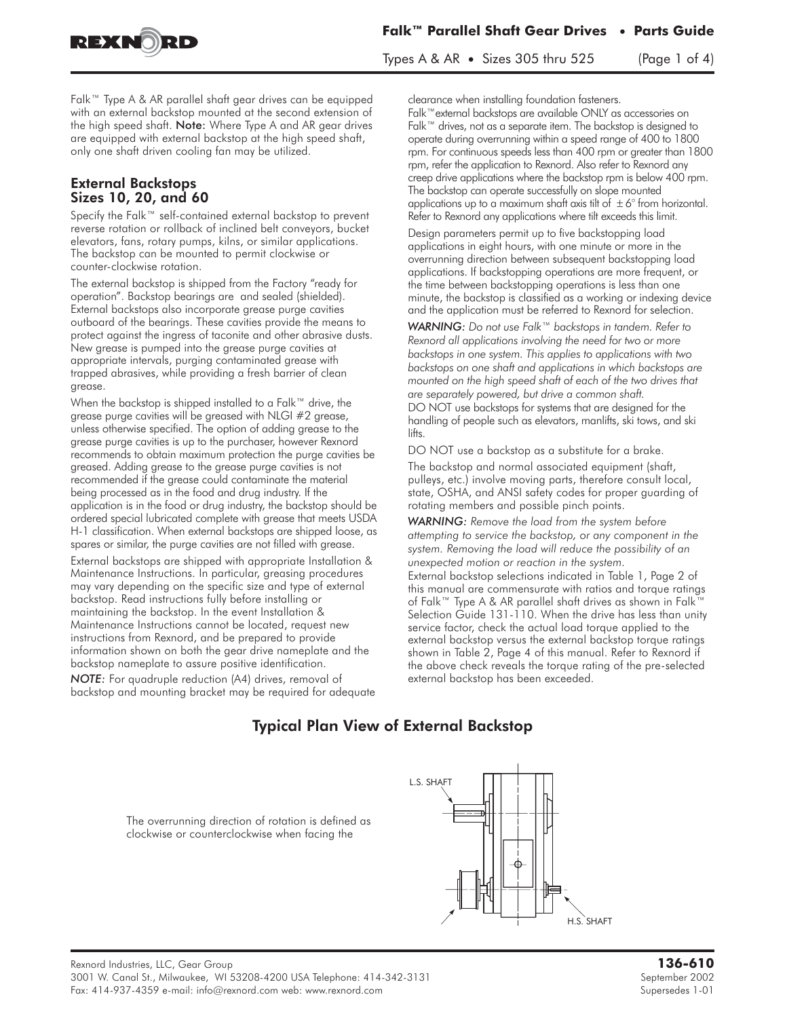

Types A & AR • Sizes 305 thru  $525$  (Page 1 of 4)

Falk™ Type A & AR parallel shaft gear drives can be equipped with an external backstop mounted at the second extension of the high speed shaft. Note: Where Type A and AR gear drives are equipped with external backstop at the high speed shaft, only one shaft driven cooling fan may be utilized.

#### External Backstops Sizes 10, 20, and 60

Specify the Falk™ self-contained external backstop to prevent reverse rotation or rollback of inclined belt conveyors, bucket elevators, fans, rotary pumps, kilns, or similar applications. The backstop can be mounted to permit clockwise or counter-clockwise rotation.

The external backstop is shipped from the Factory "ready for operation". Backstop bearings are and sealed (shielded). External backstops also incorporate grease purge cavities outboard of the bearings. These cavities provide the means to protect against the ingress of taconite and other abrasive dusts. New grease is pumped into the grease purge cavities at appropriate intervals, purging contaminated grease with trapped abrasives, while providing a fresh barrier of clean grease.

When the backstop is shipped installed to a Falk™ drive, the grease purge cavities will be greased with NLGI #2 grease, unless otherwise specified. The option of adding grease to the grease purge cavities is up to the purchaser, however Rexnord recommends to obtain maximum protection the purge cavities be greased. Adding grease to the grease purge cavities is not recommended if the grease could contaminate the material being processed as in the food and drug industry. If the application is in the food or drug industry, the backstop should be ordered special lubricated complete with grease that meets USDA H-1 classification. When external backstops are shipped loose, as spares or similar, the purge cavities are not filled with grease.

External backstops are shipped with appropriate Installation & Maintenance Instructions. In particular, greasing procedures may vary depending on the specific size and type of external backstop. Read instructions fully before installing or maintaining the backstop. In the event Installation & Maintenance Instructions cannot be located, request new instructions from Rexnord, and be prepared to provide information shown on both the gear drive nameplate and the backstop nameplate to assure positive identification.

*NOTE:* For quadruple reduction (A4) drives, removal of backstop and mounting bracket may be required for adequate clearance when installing foundation fasteners.

Falk™external backstops are available ONLY as accessories on Falk™ drives, not as a separate item. The backstop is designed to operate during overrunning within a speed range of 400 to 1800 rpm. For continuous speeds less than 400 rpm or greater than 1800 rpm, refer the application to Rexnord. Also refer to Rexnord any creep drive applications where the backstop rpm is below 400 rpm. The backstop can operate successfully on slope mounted applications up to a maximum shaft axis tilt of  $\pm 6^{\circ}$  from horizontal. Refer to Rexnord any applications where tilt exceeds this limit.

Design parameters permit up to five backstopping load applications in eight hours, with one minute or more in the overrunning direction between subsequent backstopping load applications. If backstopping operations are more frequent, or the time between backstopping operations is less than one minute, the backstop is classified as a working or indexing device and the application must be referred to Rexnord for selection.

*WARNING: Do not use Falk™ backstops in tandem. Refer to Rexnord all applications involving the need for two or more backstops in one system. This applies to applications with two backstops on one shaft and applications in which backstops are mounted on the high speed shaft of each of the two drives that are separately powered, but drive a common shaft.* DO NOT use backstops for systems that are designed for the handling of people such as elevators, manlifts, ski tows, and ski lifts.

DO NOT use a backstop as a substitute for a brake.

The backstop and normal associated equipment (shaft, pulleys, etc.) involve moving parts, therefore consult local, state, OSHA, and ANSI safety codes for proper guarding of rotating members and possible pinch points.

*WARNING: Remove the load from the system before attempting to service the backstop, or any component in the system. Removing the load will reduce the possibility of an unexpected motion or reaction in the system.* External backstop selections indicated in Table 1, Page 2 of this manual are commensurate with ratios and torque ratings of Falk™ Type A & AR parallel shaft drives as shown in Falk™ Selection Guide 131-110. When the drive has less than unity service factor, check the actual load torque applied to the external backstop versus the external backstop torque ratings shown in Table 2, Page 4 of this manual. Refer to Rexnord if the above check reveals the torque rating of the pre-selected external backstop has been exceeded.

# Typical Plan View of External Backstop

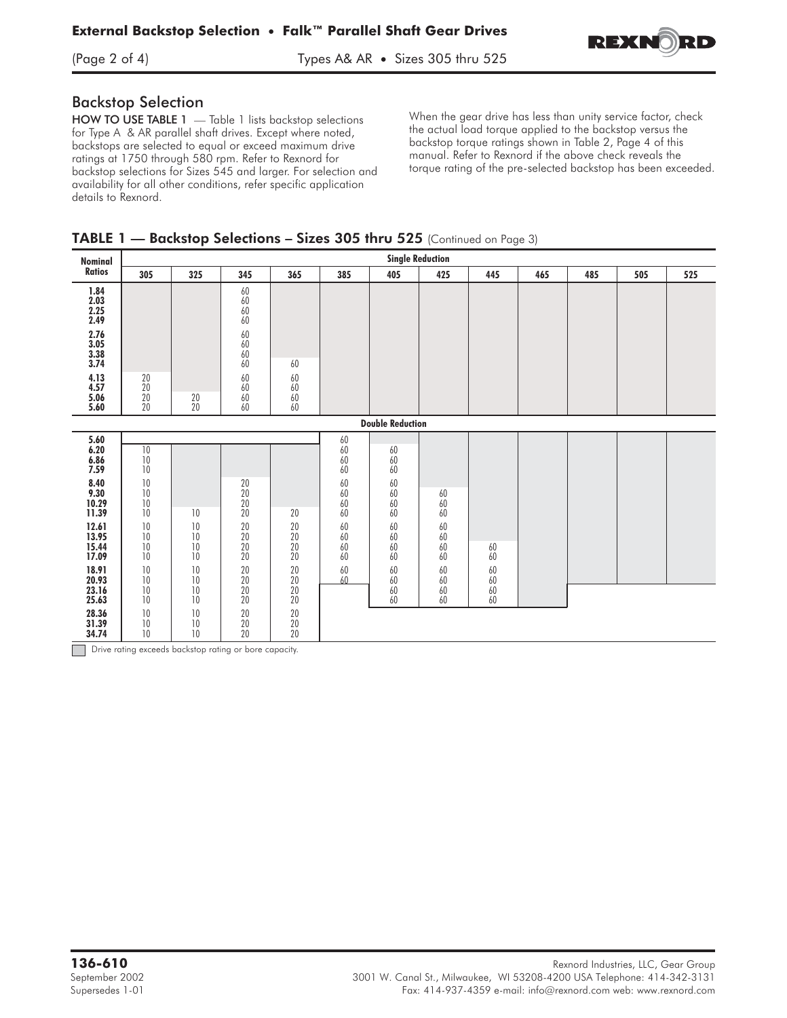

#### Backstop Selection

HOW TO USE TABLE 1 - Table 1 lists backstop selections for Type A & AR parallel shaft drives. Except where noted, backstops are selected to equal or exceed maximum drive ratings at 1750 through 580 rpm. Refer to Rexnord for backstop selections for Sizes 545 and larger. For selection and availability for all other conditions, refer specific application details to Rexnord.

When the gear drive has less than unity service factor, check the actual load torque applied to the backstop versus the backstop torque ratings shown in Table 2, Page 4 of this manual. Refer to Rexnord if the above check reveals the torque rating of the pre-selected backstop has been exceeded.

## TABLE 1 — Backstop Selections – Sizes 305 thru 525 (Continued on Page 3)

| <b>Nominal</b>                                                                                                                                                                      | <b>Single Reduction</b>                                                                                                                                                   |                                                                      |                                                                                                                                                                                                                                       |                                                                                                                          |                                                                                                                     |                                                                                                |                                                                                                   |                                  |     |     |     |     |
|-------------------------------------------------------------------------------------------------------------------------------------------------------------------------------------|---------------------------------------------------------------------------------------------------------------------------------------------------------------------------|----------------------------------------------------------------------|---------------------------------------------------------------------------------------------------------------------------------------------------------------------------------------------------------------------------------------|--------------------------------------------------------------------------------------------------------------------------|---------------------------------------------------------------------------------------------------------------------|------------------------------------------------------------------------------------------------|---------------------------------------------------------------------------------------------------|----------------------------------|-----|-----|-----|-----|
| Ratios                                                                                                                                                                              | 305                                                                                                                                                                       | 325                                                                  | 345                                                                                                                                                                                                                                   | 365                                                                                                                      | 385                                                                                                                 | 405                                                                                            | 425                                                                                               | 445                              | 465 | 485 | 505 | 525 |
| 1.84<br>$2.03$<br>$2.25$<br>$2.49$<br>$2.76$<br>$3.05$<br>$3.38$<br>$3.74$<br>4.13<br>4.57<br>$\frac{5.06}{5.60}$                                                                   | $\substack{20\\20}$<br>$20\,$<br>20                                                                                                                                       | $\substack{20\\20}$                                                  | $\begin{array}{c} 60 \\ 60 \\ 60 \\ 60 \\ 60 \end{array}$<br>$\begin{array}{c} 60 \\ 60 \end{array}$<br>$\begin{array}{c} 60 \\ 60 \end{array}$<br>$\begin{array}{c} 60 \\ 60 \end{array}$<br>$\begin{array}{c} 60 \\ 60 \end{array}$ | 60<br>$60\,$<br>60<br>$60\,$<br>60                                                                                       |                                                                                                                     |                                                                                                |                                                                                                   |                                  |     |     |     |     |
| <b>Double Reduction</b>                                                                                                                                                             |                                                                                                                                                                           |                                                                      |                                                                                                                                                                                                                                       |                                                                                                                          |                                                                                                                     |                                                                                                |                                                                                                   |                                  |     |     |     |     |
| 5.60<br>6.20<br>6.86<br>7.59<br>8.40<br>9.30<br>10.29<br>11.39<br>12.61<br>$\frac{13.95}{15.44}$<br>17.09<br>18.91<br>$\frac{20.93}{23.16}$<br>25.63<br>28.36<br>$31.39$<br>$34.74$ | 10<br>$10\,$<br>10<br>$10\,$<br>10<br>$10\,$<br>$10\,$<br>$\begin{array}{c} 10 \\ 10 \end{array}$<br>$10\,$<br>10<br>$10$<br>$10\,$<br>10<br>10<br>$10\,$<br>$10\,$<br>10 | 10<br>10<br>10<br>10<br>10<br>10<br>10<br>10<br>10<br>10<br>10<br>10 | $\substack{20\\20}$<br>$\overline{20}$<br>$\overline{20}$<br>$\begin{array}{c} 20 \\ 20 \\ 20 \\ 20 \\ 20 \end{array}$<br>$20\,$<br>$\begin{array}{c} 20 \\ 20 \\ 20 \\ 20 \end{array}$<br>$20\,$<br>$\overline{20}$<br>20            | 20<br>20<br>$\frac{20}{20}$<br>20<br>$20\,$<br>$\begin{array}{c} 20 \\ 20 \\ 20 \\ 20 \end{array}$<br>$20\,$<br>20<br>20 | 60<br>$60\,$<br>60<br>60<br>60<br>60<br>60<br>60<br>60<br>$\begin{array}{c} 60 \\ 60 \end{array}$<br>60<br>60<br>60 | 60<br>60<br>60<br>60<br>60<br>60<br>60<br>60<br>$60\,$<br>60<br>60<br>60<br>$60\,$<br>60<br>60 | $60\,$<br>60<br>60<br>60<br>$\begin{array}{c} 60 \\ 60 \end{array}$<br>60<br>60<br>60<br>60<br>60 | 60<br>60<br>60<br>60<br>60<br>60 |     |     |     |     |

*-* Drive rating exceeds backstop rating or bore capacity.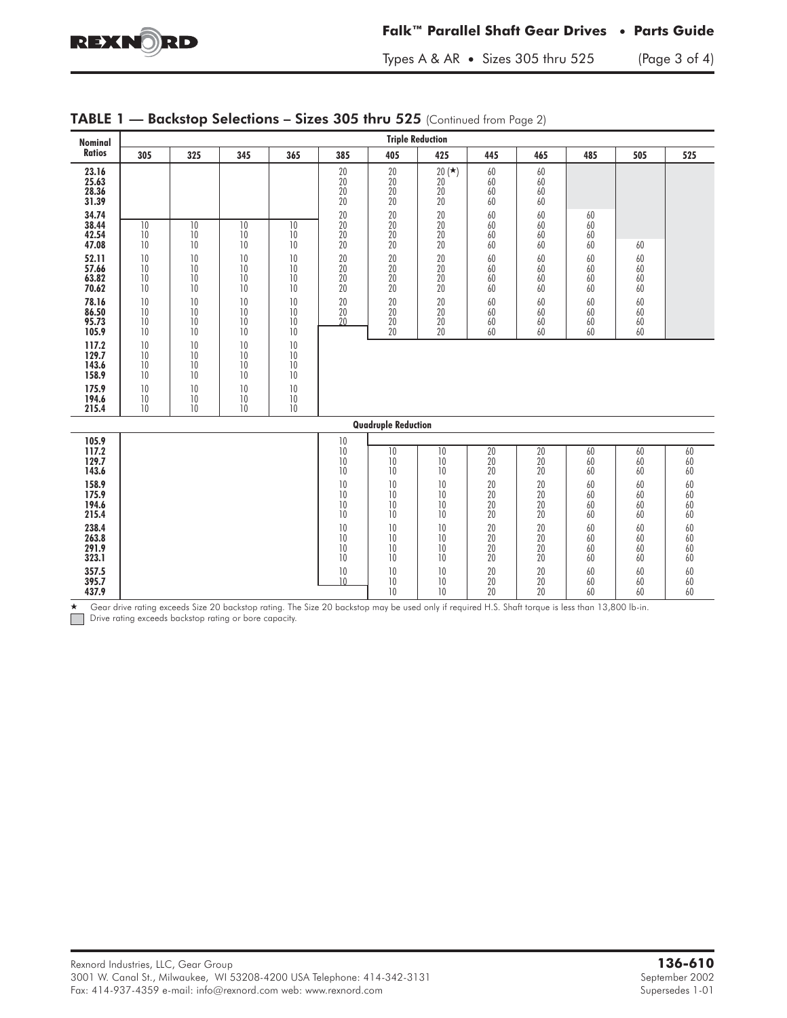

 $\star$ 

#### **Falk™ Parallel Shaft Gear Drives • Parts Guide**

Types A & AR • Sizes 305 thru 525 (Page 3 of 4)

| Nominal                                                                                                                                                                                                     | <b>Triple Reduction</b>                                                                                  |                                                                                                          |                                                                                                          |                                                                                                          |                                                                                                                                         |                                                                                              |                                                                                                   |                                                                                              |                                                                                              |                                                                      |                                                    |                                                                                                    |  |  |
|-------------------------------------------------------------------------------------------------------------------------------------------------------------------------------------------------------------|----------------------------------------------------------------------------------------------------------|----------------------------------------------------------------------------------------------------------|----------------------------------------------------------------------------------------------------------|----------------------------------------------------------------------------------------------------------|-----------------------------------------------------------------------------------------------------------------------------------------|----------------------------------------------------------------------------------------------|---------------------------------------------------------------------------------------------------|----------------------------------------------------------------------------------------------|----------------------------------------------------------------------------------------------|----------------------------------------------------------------------|----------------------------------------------------|----------------------------------------------------------------------------------------------------|--|--|
| <b>Ratios</b>                                                                                                                                                                                               | 305                                                                                                      | 325                                                                                                      | 345                                                                                                      | 365                                                                                                      | 385                                                                                                                                     | 405                                                                                          | 425                                                                                               | 445                                                                                          | 465                                                                                          | 485                                                                  | 505                                                | 525                                                                                                |  |  |
| 23.16<br>25.63<br>28.36<br>31.39<br>34.74<br>38.44<br>42.54<br>47.08<br>52.11<br>57.66<br>63.82<br>70.62<br>78.16<br>86.50<br>95.73<br>105.9<br>117.2<br>129.7<br>143.6<br>158.9<br>175.9<br>194.6<br>215.4 | 10<br>10<br>10<br>10<br>10<br>10<br>10<br>10<br>10<br>10<br>10<br>10<br>10<br>10<br>10<br>10<br>10<br>10 | 10<br>10<br>10<br>10<br>10<br>10<br>10<br>10<br>10<br>10<br>10<br>10<br>10<br>10<br>10<br>10<br>10<br>10 | 10<br>10<br>10<br>10<br>10<br>10<br>10<br>10<br>10<br>10<br>10<br>10<br>10<br>10<br>10<br>10<br>10<br>10 | 10<br>10<br>10<br>10<br>10<br>10<br>10<br>10<br>10<br>10<br>10<br>10<br>10<br>10<br>10<br>10<br>10<br>10 | $20\,$<br>20<br>$\overline{20}$<br>20<br>$20\,$<br>20<br>$\overline{20}$<br>20<br>$20\,$<br>$\frac{20}{20}$<br>20<br>$20\,$<br>20<br>20 | 20<br>20<br>20<br>20<br>20<br>20<br>20<br>20<br>20<br>20<br>20<br>20<br>20<br>20<br>20<br>20 | $20(*)$<br>20<br>20<br>20<br>20<br>20<br>20<br>20<br>20<br>20<br>20<br>20<br>20<br>20<br>20<br>20 | 60<br>60<br>60<br>60<br>60<br>60<br>60<br>60<br>60<br>60<br>60<br>60<br>60<br>60<br>60<br>60 | 60<br>60<br>60<br>60<br>60<br>60<br>60<br>60<br>60<br>60<br>60<br>60<br>60<br>60<br>60<br>60 | 60<br>60<br>60<br>60<br>60<br>60<br>60<br>60<br>60<br>60<br>60<br>60 | 60<br>60<br>60<br>60<br>60<br>60<br>60<br>60<br>60 |                                                                                                    |  |  |
|                                                                                                                                                                                                             |                                                                                                          |                                                                                                          |                                                                                                          |                                                                                                          |                                                                                                                                         | <b>Quadruple Reduction</b>                                                                   |                                                                                                   |                                                                                              |                                                                                              |                                                                      |                                                    |                                                                                                    |  |  |
| 105.9                                                                                                                                                                                                       |                                                                                                          |                                                                                                          |                                                                                                          |                                                                                                          | 10                                                                                                                                      |                                                                                              |                                                                                                   |                                                                                              |                                                                                              |                                                                      |                                                    |                                                                                                    |  |  |
| 117.2<br>129.7<br>143.6<br>158.9<br>175.9<br>194.6<br>215.4                                                                                                                                                 |                                                                                                          |                                                                                                          |                                                                                                          |                                                                                                          | 10<br>10<br>10<br>$\,10$<br>10<br>10<br>10                                                                                              | $\overline{10}$<br>10<br>10<br>10<br>10<br>10<br>10                                          | $\overline{10}$<br>10<br>10<br>10<br>10<br>10<br>10                                               | $\overline{20}$<br>20<br>20<br>20<br>20<br>20<br>20                                          | $\overline{20}$<br>20<br>20<br>20<br>20<br>20<br>20                                          | 60<br>60<br>60<br>60<br>60<br>60<br>60                               | 60<br>60<br>60<br>60<br>60<br>60<br>60             | 60<br>60<br>60<br>60<br>60<br>60<br>60                                                             |  |  |
| 238.4<br>263.8<br>291.9<br>323.1<br>357.5<br>395.7                                                                                                                                                          |                                                                                                          |                                                                                                          |                                                                                                          |                                                                                                          | 10<br>10<br>10<br>10<br>10<br>10                                                                                                        | 10<br>10<br>10<br>10<br>10<br>10                                                             | 10<br>10<br>10<br>10<br>10<br>10                                                                  | 20<br>20<br>$\begin{array}{c} 20 \\ 20 \end{array}$<br>20<br>20                              | 20<br>20<br>20<br>20<br>20<br>20                                                             | 60<br>60<br>60<br>60<br>60<br>60                                     | 60<br>60<br>60<br>60<br>60<br>60                   | $60\,$<br>60<br>$\begin{array}{c} 60 \\ 60 \end{array}$<br>$\begin{array}{c} 60 \\ 60 \end{array}$ |  |  |
| 437.9                                                                                                                                                                                                       |                                                                                                          |                                                                                                          |                                                                                                          |                                                                                                          |                                                                                                                                         | 10                                                                                           | 10                                                                                                | 20                                                                                           | 20                                                                                           | 60                                                                   | 60                                                 | 60                                                                                                 |  |  |

## **TABLE 1 — Backstop Selections – Sizes 305 thru 525** (Continued from Page 2)

 Gear drive rating exceeds Size 20 backstop rating. The Size 20 backstop may be used only if required H.S. Shaft torque is less than 13,800 lb-in. *-* Drive rating exceeds backstop rating or bore capacity.